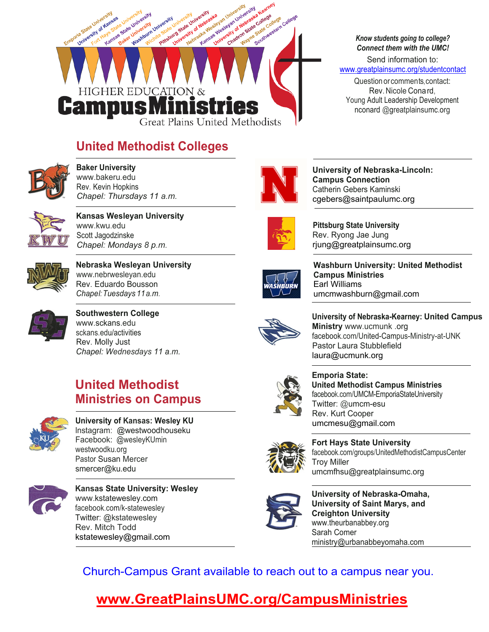

### **United Methodist Colleges**



**Baker University**  www.bakeru.edu Rev. Kevin Hopkins *Chapel: Thursdays 11 a.m.*



**Kansas Wesleyan University** www.kwu.edu Scott Jagodzinske *Chapel: Mondays 8 p.m.*



**Nebraska Wesleyan University** www.nebrwesleyan.edu Rev. Eduardo Bousson *Chape l: Tuesdays 11 a.m.*



**Southwestern College** www.sckans.edu sckans.edu/activities Rev. Molly Just *Chapel: Wednesdays 11 a.m.*

### **United Methodist Ministries on Campus**



#### **University of Kansas: Wesley KU** lnstagram: @westwoodhouseku Facebook: @wesleyKUmin westwoodku.org Pastor Susan Mercer smercer@ku.edu



**Kansas State University: Wesley** www.kstatewesley.com facebook.com/k-statewesley Twitter: @kstatewesley Rev. Mitch Todd kstatewesley@gmail.com



**University of Nebraska-Lincoln: Campus Connection** Catherin Gebers Kaminski cgebers@saintpaulumc.org



**Pittsburg State University**  Rev. Ryong Jae Jung rjung@greatplainsumc.org



**Washburn University: United Methodist Campus Ministries** Earl Williams umcmwashburn@gmail.com



**University of Nebraska-Kearney: United Campus Ministry** www.ucmunk .org facebook.com/United-Campus-Ministry-at-UNK Pastor Laura Stubblefield laura@ucmunk.org



**Emporia State: United Methodist Campus Ministries**  facebook.com/UMCM-EmporiaStateUniversity Twitter: @umcm-esu Rev. Kurt Cooper umcmesu@gmail.com



**Fort Hays State University**  facebook.com/groups/UnitedMethodistCampusCenter Troy Miller umcmfhsu@greatplainsumc.org



**University of Nebraska-Omaha, University of Saint Marys, and Creighton University** www.theurbanabbey.org Sarah Comer ministry@urbanabbeyomaha.com

Church-Campus Grant available to reach out to a campus near you.

## **www.GreatPlainsUMC.org/CampusMinistries**

*Know students going to college? Connect them with the UMC!*

Send information to: www.greatplainsumc.org/studentcontact

Question or commen ts, contact: Rev. Nicole Cona rd, Young Adult Leadership Development nconard @greatplainsumc.org